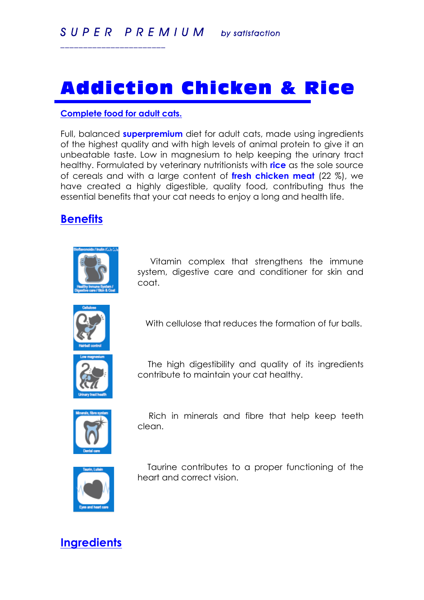# Addiction Chicken & Rice

#### **Complete food for adult cats.**

*\_\_\_\_\_\_\_\_\_\_\_\_\_\_\_\_\_\_\_\_\_\_\_*

Full, balanced **superpremium** diet for adult cats, made using ingredients of the highest quality and with high levels of animal protein to give it an unbeatable taste. Low in magnesium to help keeping the urinary tract healthy. Formulated by veterinary nutritionists with **rice** as the sole source of cereals and with a large content of **fresh chicken meat** (22 %), we have created a highly digestible, quality food, contributing thus the essential benefits that your cat needs to enjoy a long and health life.

### **Benefits**



 Vitamin complex that strengthens the immune system, digestive care and conditioner for skin and coat.



With cellulose that reduces the formation of fur balls.



 The high digestibility and quality of its ingredients contribute to maintain your cat healthy.



 Rich in minerals and fibre that help keep teeth clean.



 Taurine contributes to a proper functioning of the heart and correct vision.

### **Ingredients**